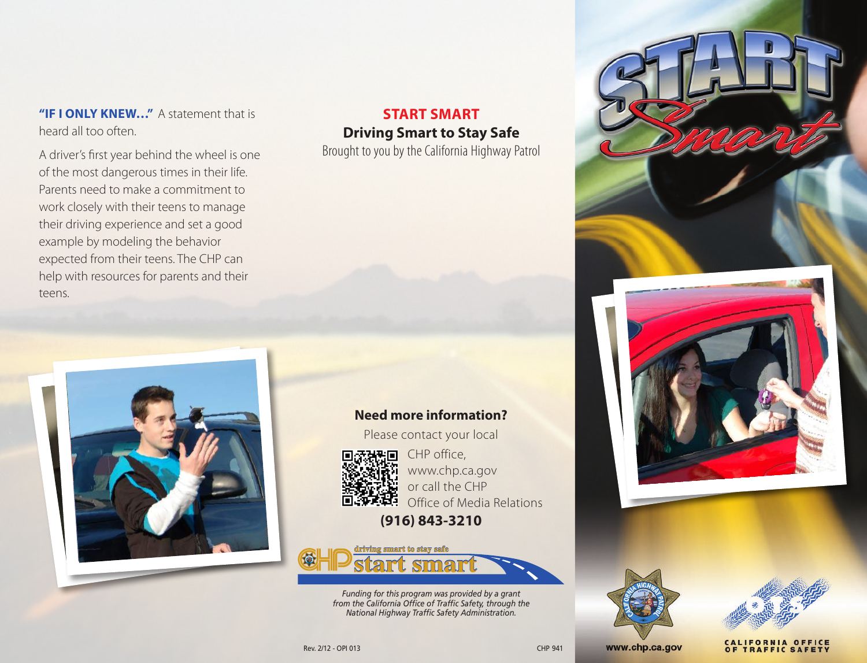**"IF I ONLY KNEW…"** A statement that is heard all too often.

A driver's first year behind the wheel is one of the most dangerous times in their life. Parents need to make a commitment to work closely with their teens to manage their driving experience and set a good example by modeling the behavior expected from their teens. The CHP can help with resources for parents and their teens.

## **START SMART Driving Smart to Stay Safe**

Brought to you by the California Highway Patrol



**Need more information?**

Please contact your local



CHP office, www.chp.ca.gov or call the CHP Office of Media Relations

**(916) 843-3210**



*Funding for this program was provided by a grant from the California Office of Traffic Safety, through the National Highway Traffic Safety Administration.*







**TRAFFIC SAFETY** 

www.chp.ca.gov